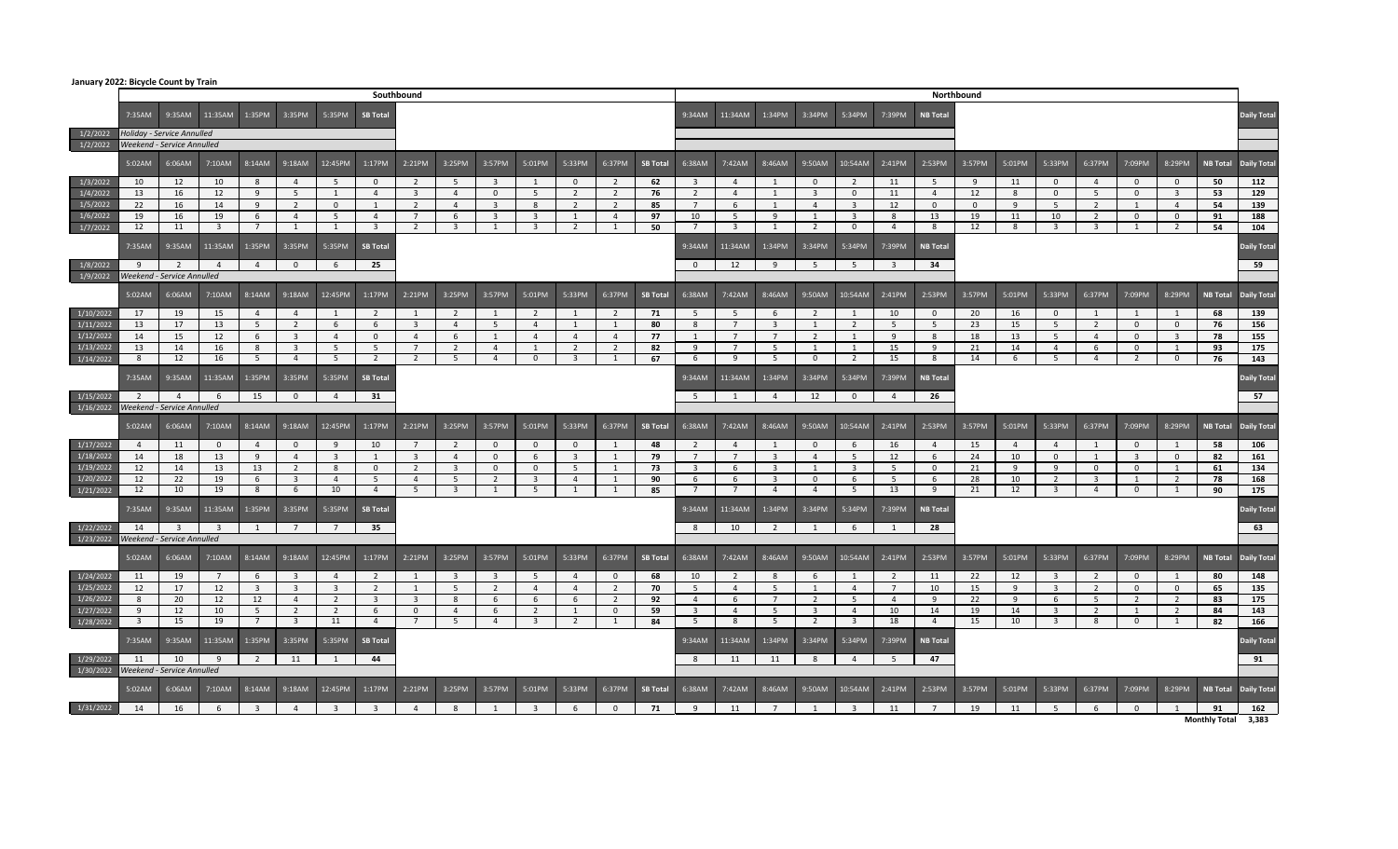|                        |                                                                              |                                                                    |                         |                                        |                                        |                                 |                     | Southbound     |                         |                            |                         |                       |                |                 |                 |                                  |                |                                  |                         |                     |                 | Northbound     |           |                         |                                        |                                        |                     |                 |                             |
|------------------------|------------------------------------------------------------------------------|--------------------------------------------------------------------|-------------------------|----------------------------------------|----------------------------------------|---------------------------------|---------------------|----------------|-------------------------|----------------------------|-------------------------|-----------------------|----------------|-----------------|-----------------|----------------------------------|----------------|----------------------------------|-------------------------|---------------------|-----------------|----------------|-----------|-------------------------|----------------------------------------|----------------------------------------|---------------------|-----------------|-----------------------------|
|                        | 7:35AM                                                                       | 9:35AM                                                             | 11:35AM                 | 1:35PM                                 | 3:35PM                                 | 5:35PM                          | <b>SB Total</b>     |                |                         |                            |                         |                       |                |                 | 9:34AM          | 11:34AM                          | 1:34PM         | 3:34PM                           | 5:34PM                  | 7:39PM              | <b>NB Total</b> |                |           |                         |                                        |                                        |                     |                 | <b>Daily Total</b>          |
| 1/2/2022               |                                                                              | Holiday - Service Annulled                                         |                         |                                        |                                        |                                 |                     |                |                         |                            |                         |                       |                |                 |                 |                                  |                |                                  |                         |                     |                 |                |           |                         |                                        |                                        |                     |                 |                             |
| 1/2/2022               |                                                                              | Weekend - Service Annulled                                         |                         |                                        |                                        |                                 |                     |                |                         |                            |                         |                       |                |                 |                 |                                  |                |                                  |                         |                     |                 |                |           |                         |                                        |                                        |                     |                 |                             |
|                        | 5:02AM                                                                       | 6:06AM                                                             | 7:10AM                  | 8:14AM                                 | 9:18AM                                 | 12:45PM                         | 1:17PM              | 2:21PM         | 3:25PM                  | 3:57PM                     | 5:01PM                  | 5:33PM                | 6:37PM         | <b>SB Total</b> | 6:38AM          | 7:42AM                           | 8:46AM         | 9:50AM                           | 10:54AM                 | 2:41PM              | 2:53PM          | 3:57PM         | 5:01PM    | 5:33PM                  | 6:37PM                                 | 7:09PM                                 | 8:29PM              | <b>NB Total</b> | <b>Daily Total</b>          |
| 1/3/2022               | 10                                                                           | 12                                                                 | 10 <sup>°</sup>         | -8                                     | $\Delta$                               |                                 | $\overline{0}$      | $\overline{2}$ | - 5                     | $\overline{\mathbf{3}}$    |                         | $\overline{0}$        | $\overline{2}$ | 62              |                 | $\overline{a}$                   |                | $\overline{0}$                   | $\overline{2}$          | 11                  |                 | 9              | 11        | $\overline{0}$          |                                        | $\overline{0}$                         | $\overline{0}$      | 50              | 112                         |
| 1/4/2022               | 13                                                                           | 16                                                                 | 12                      | <b>Q</b>                               | .5.                                    |                                 |                     | $\overline{3}$ | $\overline{4}$          | $\overline{0}$             | 5 <sup>1</sup>          | $\overline{2}$        | $\mathcal{D}$  | 76              |                 | $\overline{4}$                   |                | $\overline{\mathbf{3}}$          | $\cap$                  | 11                  |                 | 12             |           | $\overline{0}$          |                                        | $\mathbf{0}$                           | -3                  | 53              | 129                         |
| 1/5/2022               | 22                                                                           | 16                                                                 | 14                      | q                                      | $\overline{2}$                         | $\overline{0}$                  |                     | $\overline{2}$ | $\overline{4}$          | $\overline{\mathbf{3}}$    | 8                       | $\overline{2}$        | $\overline{2}$ | 85<br>97        |                 | 6                                | -9             | $\overline{4}$                   | $\overline{\mathbf{3}}$ | 12                  | $\overline{0}$  | $\overline{0}$ | -9<br>11  |                         | - 2                                    |                                        |                     | 54<br>91        | 139                         |
| 1/6/2022<br>1/7/2022   | 19<br>12                                                                     | 16<br>11                                                           | 19<br>3                 |                                        |                                        |                                 | $\overline{3}$      |                | -3                      |                            | $\overline{3}$          | $\overline{2}$        |                | 50              | 10 <sup>°</sup> | -3                               |                | $\overline{2}$                   | $\cap$                  | 8<br>$\Delta$       | 13              | 19<br>12       |           | 10<br>$\overline{3}$    | -3                                     | $\mathbf{0}$                           | 0<br>$\overline{2}$ | 54              | 188<br>104                  |
|                        | 7:35AM<br>5:35PM<br>9:35AM<br>11:35AM<br>3:35PM<br><b>SB Total</b><br>1:35PM |                                                                    |                         |                                        |                                        |                                 |                     |                |                         |                            |                         |                       |                |                 | 9:34AM          | 11:34AM                          | 1:34PM         | 3:34PM                           | 5:34PM                  | 7:39PM              | <b>NB Total</b> |                |           |                         |                                        |                                        |                     |                 | <b>Daily Total</b>          |
| 1/8/2022               | 25<br>- 9<br>$\mathbf{0}$<br>$\Delta$<br>- 6<br>Neekend - Service Annulled   |                                                                    |                         |                                        |                                        |                                 |                     |                |                         |                            |                         |                       |                |                 | 12              | -9                               | - 5            |                                  | - 3                     | 34                  |                 |                |           |                         |                                        |                                        |                     | 59              |                             |
| 1/9/2022               |                                                                              |                                                                    |                         |                                        |                                        |                                 |                     |                |                         |                            |                         |                       |                |                 |                 |                                  |                |                                  |                         |                     |                 |                |           |                         |                                        |                                        |                     |                 |                             |
|                        | 5:02AM                                                                       | 6:06AM                                                             | 7:10AM                  | 8:14AM                                 | 9:18AM                                 | 12:45PM                         | 1:17PM              | 2:21PM         | 3:25PM                  | 3:57PM                     | 5:01PM                  | 5:33PM                | 6:37PM         | <b>SB Total</b> | 6:38AM          | 7:42AM                           | 8:46AM         | 9:50AM                           | 10:54AM                 | 2:41PM              | 2:53PM          | 3:57PM         | 5:01PM    | 5:33PM                  | 6:37PM                                 | 7:09PM                                 | 8:29PM              | <b>NB Total</b> | <b>Daily Total</b>          |
| 1/10/2022              | 17                                                                           | 19                                                                 | 15                      |                                        |                                        |                                 | $\overline{2}$      |                | $\overline{2}$          |                            |                         | 1                     | $\mathcal{D}$  | 71              |                 | -5                               |                | $\overline{2}$                   |                         | 10                  | $\overline{0}$  | 20             | 16        | $\overline{0}$          |                                        |                                        |                     | 68              | 139                         |
| 1/11/2022              | 13<br>14                                                                     | 17<br>15                                                           | 13<br>12                |                                        | <u>າ</u><br>$\overline{3}$             |                                 | $\Omega$            | - 3            | $\overline{4}$          | $5\overline{5}$            |                         | $\overline{4}$        |                | 80<br>77        |                 | $\overline{7}$<br>$\overline{7}$ | 3              | $\overline{2}$                   | $\overline{2}$          | 5 <sup>5</sup><br>9 |                 | 23<br>18       | 15<br>13  | 5 <sup>5</sup>          |                                        | $\Omega$<br>$\mathbf{0}$               | 0<br>- 3            | 76<br>78        | 156<br>155                  |
| 1/12/2022<br>1/13/2022 | 13                                                                           | 14                                                                 | 16                      |                                        |                                        |                                 |                     |                | $\mathcal{D}$           |                            |                         | $\mathcal{D}$         |                | 82              | q               |                                  |                |                                  |                         | 15                  |                 | 21             | 14        |                         |                                        | $\Omega$                               |                     | 93              | 175                         |
| 1/14/2022              | -8                                                                           | 12                                                                 | 16                      |                                        | $\overline{4}$                         | 5                               | $\overline{2}$      |                | -5                      | $\overline{a}$             | $\Omega$                | -3                    |                | 67              |                 | -9                               |                | $\overline{0}$                   |                         | 15                  |                 | 14             |           |                         |                                        | $\mathcal{D}$                          | $\overline{0}$      | 76              | 143                         |
|                        | 7:35AM                                                                       | 9:35AM                                                             | 11:35AM                 | 1:35PM                                 | 3:35PM                                 | 5:35PM                          | <b>SB Total</b>     |                |                         |                            |                         |                       |                |                 | 9:34AM          | 11:34AM                          | 1:34PM         | 3:34PM                           | 5:34PM                  | 7:39PM              | <b>NB Total</b> |                |           |                         |                                        |                                        |                     |                 | <b>Daily Total</b>          |
| 1/15/2022              | 31<br>15<br>$\mathbf{0}$<br>- 2                                              |                                                                    |                         |                                        |                                        |                                 |                     |                |                         |                            |                         |                       |                |                 |                 |                                  |                | 12                               | $\Omega$                |                     | 26              |                |           |                         |                                        |                                        |                     |                 | 57                          |
| 1/16/2022              |                                                                              | Neekend - Service Annulled                                         |                         |                                        |                                        |                                 |                     |                |                         |                            |                         |                       |                |                 |                 |                                  |                |                                  |                         |                     |                 |                |           |                         |                                        |                                        |                     |                 |                             |
|                        | 5:02AM                                                                       | 6:06AM                                                             | 7:10AM                  | 8:14AM                                 | 9:18AM                                 | 12:45PM                         | 1:17PM              | 2:21PM         | 3:25PM                  | 3:57PM                     | 5:01PM                  | 5:33PM                | 6:37PM         | <b>SB Total</b> | 6:38AM          | 7:42AM                           | 8:46AM         | 9:50AM                           | 10:54AM                 | 2:41PM              | 2:53PM          | 3:57PM         | 5:01PM    | 5:33PM                  | 6:37PM                                 | 7:09PM                                 | 8:29PM              |                 | <b>NB Total Daily Total</b> |
| $1/17/2022$ 4 11       |                                                                              |                                                                    |                         | $\begin{array}{c c} 0 & 4 \end{array}$ | $\begin{array}{ccc} & 0 & \end{array}$ | $9 \quad$                       |                     |                | 10 7 2 0                |                            |                         |                       |                |                 |                 |                                  |                | 0 0 1 48 2 4 1 0                 |                         | 6 16                | $\overline{4}$  | 15             | $\sim$ 4  | $\sim$ 4 $\sim$ 1       | $\begin{array}{ccc} & 1 & \end{array}$ | $\begin{array}{c} 0 \\ -1 \end{array}$ | $\overline{1}$      | 58              | 106                         |
| 1/18/2022              | 14                                                                           | 18                                                                 | 13                      | ۰q                                     |                                        |                                 |                     | ຳ              |                         |                            | $\Omega$                | -3                    |                | 79              |                 |                                  |                | $\mathbf{1}$                     |                         | 12                  |                 | 24             | 10        | $\Omega$                |                                        | 3                                      | $\mathbf{0}$        | 82              | 161                         |
| 1/19/2022<br>1/20/2022 | 12<br>12                                                                     | 14<br>22                                                           | 13<br>19                | 13<br>-6                               | 2<br>$\overline{3}$                    | -8                              | $\Omega$<br>-5      | $\overline{4}$ | - 3<br>5                | $\Omega$<br>$\overline{2}$ | $\overline{\mathbf{3}}$ | - 5<br>$\overline{4}$ |                | 73<br>90        | 3               | 6<br>-6                          | 3              | $\overline{0}$                   | - 3<br>-6               | 5                   | $\Omega$        | 21<br>28       | - 9<br>10 | -9<br>2                 | $\Omega$<br>$\overline{3}$             | $\mathbf{0}$                           | $\overline{2}$      | 61<br>78        | 134<br>168                  |
| 1/21/2022              | 12                                                                           | 10 <sub>1</sub>                                                    | 19                      | 8                                      | 6                                      | 10                              | 4                   |                | - 3                     |                            | -5                      | $\overline{1}$        |                | 85              |                 |                                  | 4              | $\overline{4}$                   |                         | 13                  | -9              | 21             | 12        | 3                       | 4                                      | $\overline{0}$                         |                     | 90              | 175                         |
|                        | 7:35AM                                                                       | 9:35AM                                                             | 11:35AM                 | 1:35PM                                 | 3:35PM                                 | 5:35PM                          | <b>SB Total</b>     |                |                         |                            |                         |                       |                |                 | 9:34AM          | 11:34AM                          | 1:34PM         | 3:34PM                           | 5:34PM                  | 7:39PM              | <b>NB Total</b> |                |           |                         |                                        |                                        |                     |                 | <b>Daily Total</b>          |
| 1/22/2022              | 14                                                                           | $\overline{3}$                                                     | $\overline{\mathbf{3}}$ |                                        | $\overline{7}$                         | $\overline{7}$                  | 35                  |                |                         |                            |                         |                       |                |                 | 8               | 10                               | $\overline{2}$ | 1                                | -6                      |                     | 28              |                |           |                         |                                        |                                        |                     |                 | 63                          |
| 1/23/2022              |                                                                              | Weekend - Service Annulled                                         |                         |                                        |                                        |                                 |                     |                |                         |                            |                         |                       |                |                 |                 |                                  |                |                                  |                         |                     |                 |                |           |                         |                                        |                                        |                     |                 |                             |
|                        | 5:02AM                                                                       | 6:06AM                                                             | 7:10AM                  | 8:14AM                                 | 9:18AM                                 | 12:45PM                         | 1:17PM              | 2:21PM         | 3:25PM                  | 3:57PM                     | 5:01PM                  | 5:33PM                | 6:37PM         | <b>SB Total</b> | 6:38AM          | 7:42AM                           | 8:46AM         | 9:50AM                           | 10:54AM                 | 2:41PM              | 2:53PM          | 3:57PM         | 5:01PM    | 5:33PM                  | 6:37PM                                 | 7:09PM                                 | 8:29PM              | <b>NB Total</b> | Daily Total                 |
| 1/24/2022              | 11                                                                           | 19                                                                 | $\overline{7}$          | -6                                     | $\overline{\mathbf{3}}$                | $\overline{4}$                  | 2                   |                | $\overline{\mathbf{3}}$ | $\overline{\mathbf{3}}$    | - 5                     | $\overline{4}$        | $\Omega$       | 68              | 10              | $\overline{2}$                   | - 8            | 6                                |                         | $\overline{2}$      | 11              | 22             | 12        | $\overline{\mathbf{3}}$ | $\overline{2}$                         | $\mathbf{0}$                           |                     | 80              | 148                         |
| 1/25/2022              | 12                                                                           | 17                                                                 | 12                      | -3                                     |                                        | $\overline{\mathbf{3}}$         | 2                   |                | - 5                     | $\overline{2}$             |                         | $\overline{4}$        | $\overline{2}$ | 70              | 5               | $\overline{4}$                   |                |                                  |                         | $\overline{7}$      | 10              | 15             | -9        | $\overline{3}$          | -2                                     | $\mathbf{0}$                           | $\mathbf{0}$        | 65              | 135                         |
| 1/26/2022<br>1/27/2022 | 8<br>-9                                                                      | 20<br>12                                                           | 12<br>10                | 12<br>-5                               | $\overline{4}$<br>$\overline{2}$       | $\overline{\phantom{a}}$<br>- 2 | $\overline{3}$<br>6 | -3<br>0        | -8<br>4                 | 6<br>6                     | 6<br>$\overline{2}$     | 6                     | $\mathcal{D}$  | 92<br>59        | 3               | 6<br>4                           | -5             | $\overline{2}$<br>$\overline{3}$ |                         | 10                  | -9<br>14        | 22<br>19       | -9<br>14  | 6<br>3                  | - 2                                    | $\overline{2}$                         | - 2<br>-2           | 83<br>84        | 175<br>143                  |
| 1/28/2022              |                                                                              | 15                                                                 | 19                      |                                        |                                        | 11                              | 4                   |                | -5                      | -4                         |                         | -2                    |                | 84              |                 | 8                                |                |                                  |                         | 18                  |                 | 15             | 10        | -3                      | 8                                      | $\mathbf 0$                            |                     | 82              | 166                         |
|                        | 7:35AM                                                                       | 9:35AM<br>11:35AM<br>3:35PM<br>5:35PM<br><b>SB Total</b><br>1:35PM |                         |                                        |                                        |                                 |                     |                |                         |                            |                         |                       |                |                 | 9:34AM          | 11:34AM                          | 1:34PM         | 3:34PM                           | 5:34PM                  | 7:39PM              | <b>NB Total</b> |                |           |                         |                                        |                                        |                     |                 | <b>Daily Total</b>          |
| 1/29/2022              | 11                                                                           | 44<br>10 <sup>1</sup><br>$\overline{2}$<br>11<br>$\mathsf{q}$      |                         |                                        |                                        |                                 |                     |                |                         |                            |                         |                       |                |                 | 8               | 11                               | 11             | 8                                | $\Delta$                |                     | 47              |                |           |                         |                                        |                                        |                     |                 | 91                          |
| 1/30/2022              |                                                                              | Weekend - Service Annulled                                         |                         |                                        |                                        |                                 |                     |                |                         |                            |                         |                       |                |                 |                 |                                  |                |                                  |                         |                     |                 |                |           |                         |                                        |                                        |                     |                 |                             |
|                        | 5:02AM                                                                       | 6:06AM                                                             | 7:10AM                  | 8:14AM                                 | 9:18AM                                 | 12:45PM                         | 1:17PM              | 2:21PM         | 3:25PM                  | 3:57PM                     | 5:01PM                  | 5:33PM                | 6:37PM         | <b>SB Total</b> | 6:38AM          | 7:42AM                           | 8:46AM         | 9:50AM                           | 10:54AM                 | 2:41PM              | 2:53PM          | 3:57PM         | 5:01PM    | 5:33PM                  | 6:37PM                                 | 7:09PM                                 | 8:29PM              |                 | <b>NB Total Daily Total</b> |
| 1/31/2022              | 14                                                                           | 16                                                                 |                         | $\mathbf{R}$                           |                                        | $\overline{\mathbf{3}}$         | $\overline{3}$      |                | -8                      |                            | $\overline{3}$          | 6                     |                | 71              | 9               | 11                               |                |                                  | $\overline{3}$          | 11                  |                 | 19             | 11        |                         |                                        | $\overline{0}$                         |                     | 91              | 162                         |

**Monthly Total 3,383**

## **January 2022: Bicycle Count by Train**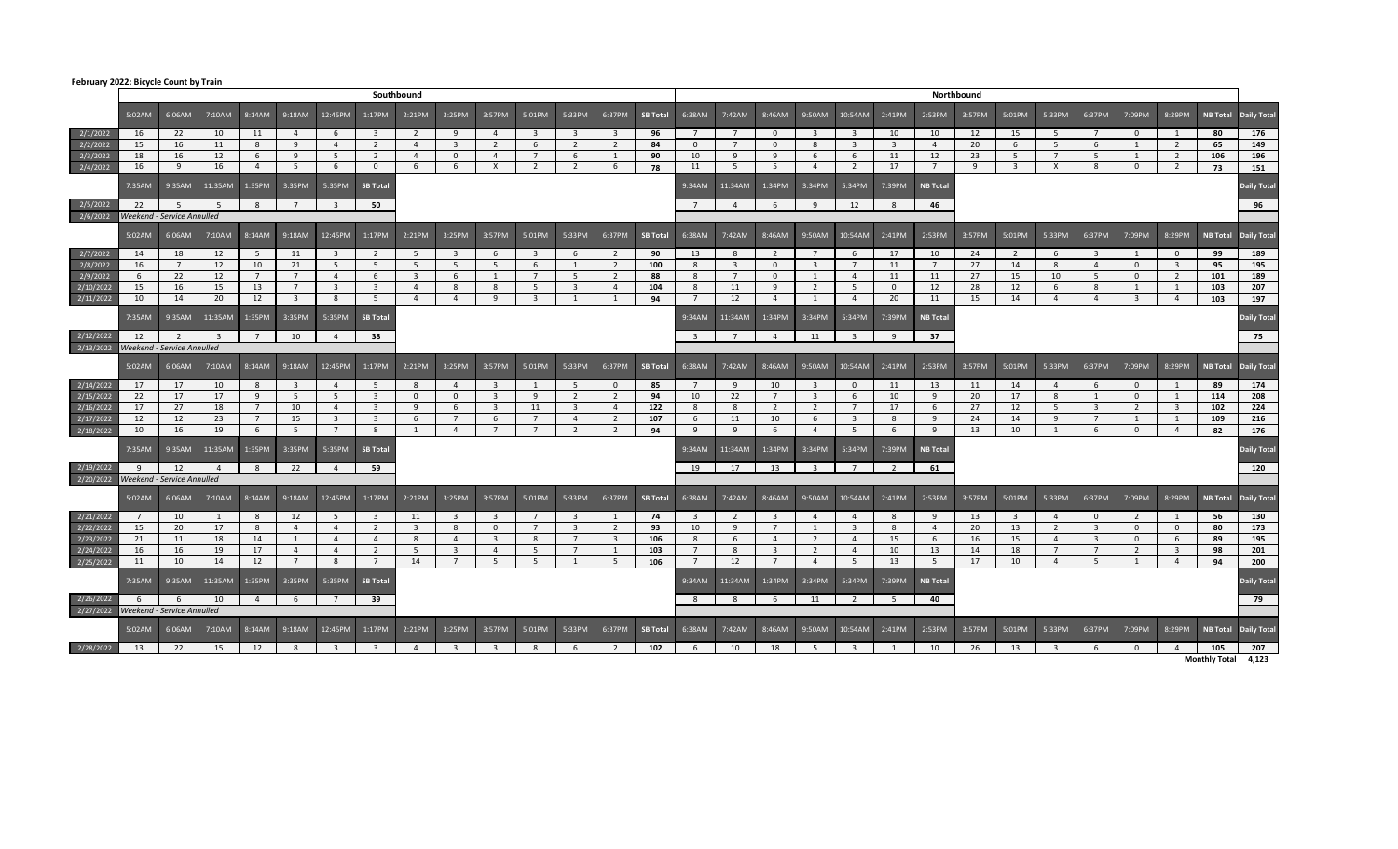| reprudi y zozzi bicycle count by fram   |                                                                                                             |                                                     |                 |        |                         |                         |                         |                          |                         |                         |                         |                         |                |                 |                 |                 |                         |                                                 |                         |                         |                 |            |                         |                |                |                |                          |                 |                             |
|-----------------------------------------|-------------------------------------------------------------------------------------------------------------|-----------------------------------------------------|-----------------|--------|-------------------------|-------------------------|-------------------------|--------------------------|-------------------------|-------------------------|-------------------------|-------------------------|----------------|-----------------|-----------------|-----------------|-------------------------|-------------------------------------------------|-------------------------|-------------------------|-----------------|------------|-------------------------|----------------|----------------|----------------|--------------------------|-----------------|-----------------------------|
|                                         |                                                                                                             |                                                     |                 |        |                         |                         |                         | Southbound               |                         |                         |                         |                         |                |                 |                 |                 |                         |                                                 |                         |                         |                 | Northbound |                         |                |                |                |                          |                 |                             |
|                                         |                                                                                                             |                                                     |                 |        |                         |                         |                         |                          |                         |                         |                         |                         |                |                 |                 |                 |                         |                                                 |                         |                         |                 |            |                         |                |                |                |                          |                 |                             |
|                                         | 5:02AM                                                                                                      | 6:06AM                                              | 7:10AM          | 8:14AM | 9:18AM                  | 12:45PM                 | 1:17PM                  | 2:21PM                   | 3:25PM                  | 3:57PM                  | 5:01PM                  | 5:33PM                  | 6:37PM         | <b>SB Total</b> | 6:38AM          | 7:42AM          | 8:46AM                  | 9:50AM                                          | 10:54AM                 | 2:41PM                  | 2:53PM          | 3:57PM     | 5:01PM                  | 5:33PM         | 6:37PM         | 7:09PM         | 8:29PM                   |                 | <b>NB Total Daily Total</b> |
|                                         |                                                                                                             |                                                     |                 |        |                         |                         |                         |                          |                         |                         |                         |                         |                |                 |                 |                 |                         |                                                 |                         |                         |                 |            |                         |                |                |                |                          |                 |                             |
| 2/1/2022                                | 16                                                                                                          | 22                                                  | 10              | 11     |                         |                         | -3                      | $\overline{\phantom{a}}$ | - q                     | $\Delta$                | ્ર                      | $\overline{\mathbf{3}}$ |                | 96              |                 |                 | $\Omega$                | -3                                              | $\mathbf{R}$            | 10                      | 10              | 12         | 15                      | .5.            |                | $\Omega$       |                          | 80              | 176                         |
| 2/2/2022                                | 15                                                                                                          | 16                                                  | 11              | 8      | q                       |                         | $\mathcal{D}$           | - 4                      | - 3                     | $\overline{2}$          |                         | $\overline{2}$          | $\overline{2}$ | 84              | $\Omega$        | $\overline{7}$  | $\Omega$                | -8                                              | $\overline{\mathbf{3}}$ | $\overline{\mathbf{3}}$ |                 | 20         |                         |                |                |                | $\overline{\phantom{a}}$ | 65              | 149                         |
| 2/3/2022                                | 18                                                                                                          | 16                                                  | 12              |        | -9                      |                         |                         |                          |                         |                         |                         | -6                      |                | 90              | 10              | -9              |                         | -6                                              |                         | 11                      | 12              | 23         |                         |                |                |                |                          | 106             | 196                         |
| 2/4/2022                                | 16                                                                                                          | - 9                                                 | 16              |        | -5                      |                         | $\Omega$                | -6                       | 6                       | X                       | 2                       | 2                       |                | 78              | 11              | -5              |                         | $\overline{a}$                                  |                         | 17                      |                 | -9         |                         |                |                | $\Omega$       |                          | 73              | 151                         |
|                                         |                                                                                                             |                                                     |                 |        |                         |                         |                         |                          |                         |                         |                         |                         |                |                 |                 |                 |                         |                                                 |                         |                         |                 |            |                         |                |                |                |                          |                 |                             |
|                                         | 7:35AM                                                                                                      | 9:35AM                                              | 11:35AM         | 1:35PM | 3:35PM                  | 5:35PM                  | <b>SB Total</b>         |                          |                         |                         |                         |                         |                |                 | 9:34AM          | 11:34AM         | 1:34PM                  | 3:34PM                                          | 5:34PM                  | 7:39PM                  | <b>NB Total</b> |            |                         |                |                |                |                          |                 | <b>Daily Total</b>          |
| 2/5/2022                                | 22                                                                                                          |                                                     | -5.             | 8      | $\overline{7}$          | $\overline{\mathbf{3}}$ | 50                      |                          |                         |                         |                         |                         |                |                 |                 | $\overline{a}$  | -6                      | -9                                              | 12                      | 8                       | 46              |            |                         |                |                |                |                          |                 | 96                          |
|                                         |                                                                                                             | Weekend - Service Annulled                          |                 |        |                         |                         |                         |                          |                         |                         |                         |                         |                |                 |                 |                 |                         |                                                 |                         |                         |                 |            |                         |                |                |                |                          |                 |                             |
| 2/6/2022                                |                                                                                                             |                                                     |                 |        |                         |                         |                         |                          |                         |                         |                         |                         |                |                 |                 |                 |                         |                                                 |                         |                         |                 |            |                         |                |                |                |                          |                 |                             |
|                                         | 5:02AM                                                                                                      | 6:06AM                                              | 7:10AM          | 8:14AM | 9:18AM                  | 12:45PM                 | 1:17PM                  | 2:21PM                   | 3:25PM                  | 3:57PM                  | 5:01PM                  | 5:33PM                  | 6:37PM         | <b>SB Total</b> | 6:38AM          | 7:42AM          | 8:46AM                  | 9:50AM                                          | 10:54AM                 | 2:41PM                  | 2:53PM          | 3:57PM     | 5:01PM                  | 5:33PM         | 6:37PM         | 7:09PM         | 8:29PM                   |                 | <b>NB Total Daily Total</b> |
|                                         |                                                                                                             |                                                     |                 |        |                         |                         |                         |                          |                         |                         |                         |                         |                |                 |                 |                 |                         |                                                 |                         |                         |                 |            |                         |                |                |                |                          |                 |                             |
| 2/7/2022                                | 14                                                                                                          | 18                                                  | 12              |        | 11                      | - 3                     | $\overline{2}$          |                          |                         |                         | ્વ                      | -6                      | $\mathcal{D}$  | 90              | 13              | 8               | ാ                       |                                                 |                         | 17                      | 10              | 24         | $\overline{2}$          | 6              |                |                | - 0                      | 99              | 189                         |
| 2/8/2022                                | 16                                                                                                          |                                                     | 12              | 10     | 21                      |                         |                         |                          | - 5                     | - 5                     |                         |                         |                | 100             |                 | $\overline{3}$  |                         | $\overline{3}$                                  |                         | 11                      |                 | 27         | 14                      | 8              |                | $\Omega$       |                          | 95              | 195                         |
| 2/9/2022                                | 6                                                                                                           | 22                                                  | 12              |        | $\overline{ }$          |                         |                         | - 3                      |                         |                         |                         |                         | ຳ              | 88              |                 | $\overline{7}$  |                         |                                                 |                         | 11                      | 11              | 27         | 15                      | 10             |                | $\mathbf{0}$   | ່າ                       | 101             | 189                         |
| 2/10/2022                               | 15                                                                                                          | 16                                                  | 15              | 13     |                         | -3                      |                         |                          |                         |                         |                         | -3                      |                | 104             |                 | 11              |                         | $\overline{2}$                                  |                         | $\cap$                  | 12              | 28         | 12                      |                |                |                |                          | 103             | 207                         |
| 2/11/2022                               | 10 <sup>°</sup>                                                                                             | 14                                                  | 20              | 12     | 3                       |                         | 5                       | -4                       | $\boldsymbol{\Lambda}$  | -9                      | $\overline{\mathbf{3}}$ |                         |                | 94              |                 | 12              | 4                       | -1                                              |                         | 20                      | 11              | 15         | 14                      |                |                |                |                          | 103             | 197                         |
|                                         |                                                                                                             |                                                     |                 |        |                         |                         |                         |                          |                         |                         |                         |                         |                |                 |                 |                 |                         |                                                 |                         |                         |                 |            |                         |                |                |                |                          |                 |                             |
|                                         | 7:35AM                                                                                                      | 9:35AM                                              | 11:35AM         | 1:35PM | 3:35PM                  | 5:35PM                  | <b>SB Total</b>         |                          |                         |                         |                         |                         |                |                 | 9:34AM          | 11:34AM         | 1:34PM                  | 3:34PM                                          | 5:34PM                  | 7:39PM                  | <b>NB Total</b> |            |                         |                |                |                |                          |                 | <b>Daily Total</b>          |
|                                         |                                                                                                             |                                                     |                 |        |                         |                         |                         |                          |                         |                         |                         |                         |                |                 |                 |                 |                         |                                                 |                         |                         |                 |            |                         |                |                |                |                          |                 |                             |
| 2/12/2022                               | 12                                                                                                          |                                                     |                 |        | 10                      |                         | 38                      |                          |                         |                         |                         |                         |                |                 |                 | $\overline{7}$  | $\boldsymbol{\Lambda}$  | 11                                              | -3                      | -9                      | 37              |            |                         |                |                |                |                          |                 | 75                          |
| Weekend - Service Annulled<br>2/13/2022 |                                                                                                             |                                                     |                 |        |                         |                         |                         |                          |                         |                         |                         |                         |                |                 |                 |                 |                         |                                                 |                         |                         |                 |            |                         |                |                |                |                          |                 |                             |
|                                         | 5:02AM                                                                                                      | 6:06AM                                              | 7:10AM          | 8:14AM | 9:18AM                  | 12:45PM                 | 1:17PM                  | 2:21PM                   | 3:25PM                  | 3:57PM                  | 5:01PM                  | 5:33PM                  | 6:37PM         | <b>SB Total</b> | 6:38AM          | 7:42AM          | 8:46AM                  | 9:50AM                                          | 10:54AM                 | 2:41PM                  | 2:53PM          | 3:57PM     | 5:01PM                  | 5:33PM         | 6:37PM         | 7:09PM         | 8:29PM                   | <b>NB Total</b> | <b>Daily Total</b>          |
|                                         |                                                                                                             |                                                     |                 |        |                         |                         |                         |                          |                         |                         |                         |                         |                |                 |                 |                 |                         |                                                 |                         |                         |                 |            |                         |                |                |                |                          |                 |                             |
| 2/14/2022                               | 17                                                                                                          | 17                                                  | 10 <sup>°</sup> | 8      | $\overline{\mathbf{3}}$ |                         | 5 <sup>5</sup>          | -8                       | 4                       | $\overline{\mathbf{3}}$ |                         | -5                      | $\Omega$       | 85              |                 | 9               | 10                      | $\overline{3}$                                  | $\Omega$                | 11                      | 13              | 11         | 14                      |                |                | $\mathbf{0}$   | $\overline{1}$           | 89              | 174                         |
| 2/15/2022                               | 22                                                                                                          | 17                                                  | 17              | - q    |                         |                         |                         | $\Omega$                 |                         | - 3                     | $\mathbf{q}$            | $\mathcal{D}$           |                | 94              | 10              | 22              |                         | $\overline{3}$                                  |                         | 10                      | - 9             | 20         | 17                      |                |                | $\Omega$       |                          | 114             | 208                         |
| 2/16/2022                               | 17                                                                                                          | 27                                                  | 18              |        | 10                      |                         | -3                      | - q                      |                         | $\overline{\mathbf{3}}$ | 11                      | $\overline{\mathbf{3}}$ |                | 122             |                 | 8               |                         | $\overline{2}$                                  |                         | 17                      |                 | 27         | 12                      |                |                |                | ె                        | 102             | 224                         |
| 2/17/2022                               | 12                                                                                                          | 12                                                  | 23              |        | 15                      | -3                      | -3                      |                          |                         |                         |                         |                         |                | 107             |                 | 11              | 10                      | 6                                               |                         | 8                       | - 0             | 24         | 14                      | $\Omega$       |                |                |                          | 109             | 216                         |
|                                         | 10                                                                                                          | 16                                                  | 19              |        | -5                      |                         | 8                       |                          | $\overline{4}$          |                         |                         | 2                       |                | 94              | q               | -9              |                         | $\overline{4}$                                  |                         | -6                      | -9              | 13         | 10                      |                |                | $\Omega$       |                          | 82              | 176                         |
| 2/18/2022                               |                                                                                                             |                                                     |                 |        |                         |                         |                         |                          |                         |                         |                         |                         |                |                 |                 |                 |                         |                                                 |                         |                         |                 |            |                         |                |                |                |                          |                 |                             |
|                                         |                                                                                                             | 7:35AM 9:35AM 11:35AM 1:35PM 3:35PM 5:35PM SB Total |                 |        |                         |                         |                         |                          |                         |                         |                         |                         |                |                 |                 |                 |                         | 9:34AM  11:34AM  1:34PM  3:34PM  5:34PM  7:39PM |                         |                         | NB Total        |            |                         |                |                |                |                          |                 | <b>Daily Total</b>          |
|                                         |                                                                                                             |                                                     |                 |        |                         |                         |                         |                          |                         |                         |                         |                         |                |                 |                 |                 |                         |                                                 |                         |                         |                 |            |                         |                |                |                |                          |                 |                             |
| 2/19/2022                               | 9                                                                                                           | 12                                                  | $\overline{4}$  | 8      | 22                      | $\overline{4}$          | 59                      |                          |                         |                         |                         |                         |                |                 | 19              | 17              | 13                      | $\overline{\mathbf{3}}$                         | $\overline{7}$          | $\overline{2}$          | 61              |            |                         |                |                |                |                          |                 | 120                         |
| 2/20/2022 Weekend - Service Annulled    |                                                                                                             |                                                     |                 |        |                         |                         |                         |                          |                         |                         |                         |                         |                |                 |                 |                 |                         |                                                 |                         |                         |                 |            |                         |                |                |                |                          |                 |                             |
|                                         |                                                                                                             |                                                     |                 |        |                         |                         |                         |                          |                         |                         |                         |                         |                |                 |                 |                 |                         |                                                 |                         |                         |                 |            |                         |                |                |                |                          |                 |                             |
|                                         | 5:02AM                                                                                                      | 6:06AM                                              | 7:10AM          | 8:14AM | 9:18AM                  | 12:45PM                 | 1:17PM                  | 2:21PM                   | 3:25PM                  | 3:57PM                  | 5:01PM                  | 5:33PM                  | 6:37PM         | <b>SB Total</b> | 6:38AM          | 7:42AM          | 8:46AM                  | 9:50AM                                          | 10:54AM                 | 2:41PM                  | 2:53PM          | 3:57PM     | 5:01PM                  | 5:33PM         | 6:37PM         | 7:09PM         | 8:29PM                   |                 | <b>NB Total Daily Total</b> |
| 2/21/2022                               | $\overline{7}$                                                                                              | 10                                                  | 1               | 8      | 12                      | $5^{\circ}$             | $\overline{\mathbf{3}}$ | 11                       | $\overline{\mathbf{3}}$ | $\overline{\mathbf{3}}$ | $\overline{7}$          | $\overline{\mathbf{3}}$ |                | 74              | $\mathbf{3}$    | $\overline{2}$  | $\overline{\mathbf{3}}$ | $\overline{4}$                                  | $\overline{4}$          | 8                       | 9               | 13         | $\overline{\mathbf{3}}$ | $\overline{4}$ | $\overline{0}$ | $\overline{2}$ | $\overline{1}$           | 56              | 130                         |
| 2/22/2022                               | 15                                                                                                          | 20                                                  | 17              |        |                         |                         |                         | - 3                      | -8                      | $\overline{0}$          |                         | $\overline{\mathbf{3}}$ |                | 93              | 10 <sup>°</sup> | 9               |                         |                                                 |                         |                         |                 | 20         | 13                      |                |                | $\mathbf{0}$   | - 0                      | 80              | 173                         |
| 2/23/2022                               | 21                                                                                                          | 11                                                  | 18              | 14     |                         |                         |                         | -8                       |                         | $\overline{\mathbf{3}}$ | 8                       | $\overline{7}$          | 3              | 106             | 8               | 6               |                         | $\overline{2}$                                  |                         | 15                      |                 | 16         | 15                      |                |                | $\overline{0}$ |                          | 89              | 195                         |
| 2/24/2022                               | 16                                                                                                          | 16                                                  | 19              | 17     |                         |                         | $\overline{2}$          | - 5                      | - 3                     |                         | -5                      | $\overline{7}$          |                | 103             |                 | 8               | 3                       | $\overline{2}$                                  |                         | 10                      | 13              | 14         | 18                      |                |                |                | - 3                      | 98              | 201                         |
|                                         | 11                                                                                                          | 10 <sup>°</sup>                                     | 14              | 12     |                         |                         |                         | 14                       |                         | $5^{\circ}$             | 5 <sup>5</sup>          |                         |                |                 |                 | 12 <sub>2</sub> |                         | -4                                              |                         | 13                      |                 | 17         | 10                      |                |                |                | 4                        |                 |                             |
| 2/25/2022                               |                                                                                                             |                                                     |                 |        |                         | 8                       |                         |                          |                         |                         |                         |                         |                | 106             |                 |                 |                         |                                                 |                         |                         | 5               |            |                         | 4              | -5             |                |                          | 94              | 200                         |
|                                         | 7:35AM                                                                                                      | 9:35AM                                              | 11:35AM         | 1:35PM | 3:35PM                  | 5:35PM                  | <b>SB Total</b>         |                          |                         |                         |                         |                         |                |                 | 9:34AM          | 11:34AM         | 1:34PM                  | 3:34PM                                          | 5:34PM                  | 7:39PM                  | <b>NB Total</b> |            |                         |                |                |                |                          |                 | <b>Daily Total</b>          |
|                                         |                                                                                                             |                                                     |                 |        |                         |                         |                         |                          |                         |                         |                         |                         |                |                 |                 |                 |                         |                                                 |                         |                         |                 |            |                         |                |                |                |                          |                 |                             |
|                                         | 2/26/2022<br>10<br>39<br>6<br>6<br>$\overline{7}$<br>$\overline{4}$<br>2/27/2022 Weekend - Service Annulled |                                                     |                 |        |                         |                         |                         |                          |                         |                         |                         |                         |                | 8               | 8               | 6               | 11                      | $\overline{2}$                                  | 5 <sup>5</sup>          | 40                      |                 |            |                         |                |                |                |                          | 79              |                             |
|                                         |                                                                                                             |                                                     |                 |        |                         |                         |                         |                          |                         |                         |                         |                         |                |                 |                 |                 |                         |                                                 |                         |                         |                 |            |                         |                |                |                |                          |                 |                             |
|                                         | 5:02AM                                                                                                      | 6:06AM                                              | 7:10AM          | 8:14AM | 9:18AM                  | 12:45PM                 | 1:17PM                  | 2:21PM                   | 3:25PM                  | 3:57PM                  | 5:01PM                  | 5:33PM                  | 6:37PM         | <b>SB Total</b> | 6:38AM          | 7:42AM          | 8:46AM                  | 9:50AM                                          | 10:54AM                 | 2:41PM                  | 2:53PM          | 3:57PM     | 5:01PM                  | 5:33PM         | 6:37PM         | 7:09PM         | 8:29PM                   |                 | <b>NB Total Daily Total</b> |
|                                         |                                                                                                             |                                                     |                 |        |                         |                         |                         |                          |                         |                         |                         |                         |                |                 |                 |                 |                         |                                                 |                         |                         |                 |            |                         |                |                |                |                          |                 |                             |
| 2/28/2022                               | 13                                                                                                          | 22                                                  | 15              | 12     | 8                       | $\overline{\mathbf{3}}$ | $\overline{3}$          | $\overline{4}$           | $\overline{\mathbf{3}}$ | $\overline{\mathbf{3}}$ | 8                       | 6                       | $\overline{2}$ | 102             | 6               | 10              | 18                      | 5                                               | $\overline{\mathbf{3}}$ |                         | 10              | 26         | 13                      | $\overline{3}$ |                | $\overline{0}$ | $\overline{4}$           | 105             | 207                         |

**Monthly Total 4,123**

## **February 2022: Bicycle Count by Train**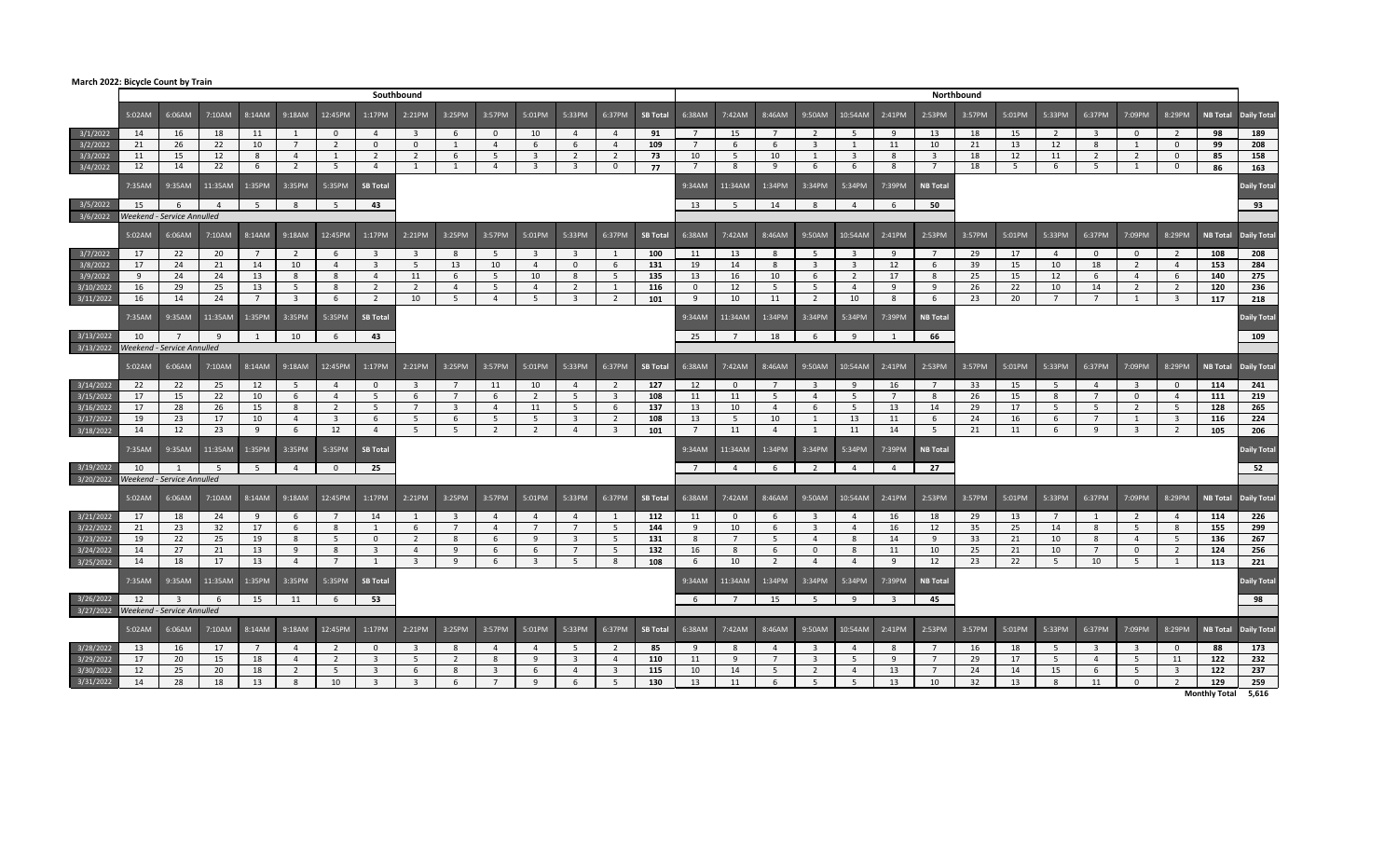| <b>March 2022. Dicycle Count by Train</b> |                            |                            |                |                |                |                                                     |                 |                         |                         |                         |                         |                         |                |                 |                 |                      |                |                                           |                                                 |                         |                 |            |          |                 |                         |                |                         |                 |                             |
|-------------------------------------------|----------------------------|----------------------------|----------------|----------------|----------------|-----------------------------------------------------|-----------------|-------------------------|-------------------------|-------------------------|-------------------------|-------------------------|----------------|-----------------|-----------------|----------------------|----------------|-------------------------------------------|-------------------------------------------------|-------------------------|-----------------|------------|----------|-----------------|-------------------------|----------------|-------------------------|-----------------|-----------------------------|
|                                           |                            |                            |                |                |                |                                                     |                 | Southbound              |                         |                         |                         |                         |                |                 |                 |                      |                |                                           |                                                 |                         |                 | Northbound |          |                 |                         |                |                         |                 |                             |
|                                           |                            |                            |                |                |                |                                                     |                 |                         |                         |                         |                         |                         |                |                 |                 |                      |                |                                           |                                                 |                         |                 |            |          |                 |                         |                |                         |                 |                             |
|                                           | 5:02AM                     | 6:06AM                     | 7:10AM         | 8:14AM         | 9:18AM         | 12:45PM                                             | 1:17PM          | 2:21PM                  | 3:25PM                  | 3:57PM                  | 5:01PM                  | 5:33PM                  | 6:37PM         | <b>SB Total</b> | 6:38AM          | 7:42AM               | 8:46AM         | 9:50AM                                    | 10:54AM                                         | 2:41PM                  | 2:53PM          | 3:57PM     | 5:01PM   | 5:33PM          | 6:37PM                  | 7:09PM         | 8:29PM                  | <b>NB Total</b> | <b>Daily Total</b>          |
| 3/1/2022                                  | 14                         | 16                         | 18             | 11             |                | $\Omega$                                            | $\Delta$        | $\overline{\mathbf{3}}$ |                         | $\overline{0}$          | 10 <sup>1</sup>         | $\overline{a}$          |                | 91              |                 | 15                   |                | $\overline{2}$                            |                                                 | -9                      | 13              | 18         | 15       | $\overline{2}$  |                         | $\Omega$       | $\mathcal{D}$           | 98              | 189                         |
| 3/2/2022                                  | 21                         | 26                         | 22             | 10             |                | ာ                                                   | $\Omega$        | - 0                     |                         |                         |                         |                         |                | 109             |                 | -6                   |                | $\overline{\mathbf{3}}$                   |                                                 | 11                      | 10              | 21         | 13       | 12              |                         |                | - 0                     | 99              | 208                         |
| 3/3/2022                                  | 11                         | 15                         | 12             | 8              |                |                                                     |                 | $\overline{2}$          |                         |                         |                         | $\overline{2}$          |                | 73              | 10              | -5                   | 10             |                                           |                                                 |                         |                 | 18         | 12       | 11              |                         |                |                         | 85              | 158                         |
| 3/4/2022                                  | 12                         | 14                         | 22             | -6             | 2              | -5                                                  |                 |                         |                         |                         | $\overline{3}$          | $\overline{3}$          |                | 77              |                 | -8                   | - q            | -6                                        | -6                                              | 8                       |                 | 18         |          | 6               |                         |                |                         | 86              | 163                         |
|                                           |                            |                            |                |                |                |                                                     |                 |                         |                         |                         |                         |                         |                |                 |                 |                      |                |                                           |                                                 |                         |                 |            |          |                 |                         |                |                         |                 |                             |
|                                           | 7:35AM                     | 9:35AM                     | 11:35AM        | 1:35PM         | 3:35PM         | 5:35PM                                              | <b>SB Total</b> |                         |                         |                         |                         |                         |                |                 | 9:34AM          | 11:34AM              | 1:34PM         | 3:34PM                                    | 5:34PM                                          | 7:39PM                  | <b>NB Total</b> |            |          |                 |                         |                |                         |                 | <b>Daily Total</b>          |
| 3/5/2022                                  | 15                         |                            | $\overline{4}$ | - 5            | 8              | 5 <sup>5</sup>                                      | 43              |                         |                         |                         |                         |                         |                |                 | 13              | 5                    | 14             | 8                                         | $\overline{a}$                                  | -6                      | 50              |            |          |                 |                         |                |                         |                 | 93                          |
| 3/6/2022                                  |                            | Weekend - Service Annulled |                |                |                |                                                     |                 |                         |                         |                         |                         |                         |                |                 |                 |                      |                |                                           |                                                 |                         |                 |            |          |                 |                         |                |                         |                 |                             |
|                                           |                            |                            |                |                |                |                                                     |                 |                         |                         |                         |                         |                         |                |                 |                 |                      |                |                                           |                                                 |                         |                 |            |          |                 |                         |                |                         |                 |                             |
|                                           | 5:02AM                     | 6:06AM                     | 7:10AM         | 8:14AM         | 9:18AM         | 12:45PM                                             | 1:17PM          | 2:21PM                  | 3:25PM                  | 3:57PM                  | 5:01PM                  | 5:33PM                  | 6:37PM         | <b>SB Total</b> | 6:38AM          | 7:42AM               | 8:46AM         | 9:50AM                                    | 10:54AM                                         | 2:41PM                  | 2:53PM          | 3:57PM     | 5:01PM   | 5:33PM          | 6:37PM                  | 7:09PM         | 8:29PM                  | <b>NB Total</b> | <b>Daily Total</b>          |
| 3/7/2022                                  | 17                         | 22                         | <b>20</b>      |                | $\overline{2}$ |                                                     | - 3             | - 3                     | 8                       | - 5                     |                         | $\overline{\mathbf{3}}$ |                | 100             | 11              | 13                   | -8             | -5                                        |                                                 | - q                     |                 | 29         | 17       |                 | $\Omega$                | $\overline{0}$ | $\overline{2}$          | 108             | 208                         |
| 3/8/2022                                  | 17                         | 24                         | 21             | 14             | 10             |                                                     |                 | $-5$                    | 13                      | 10                      |                         | $\overline{0}$          |                | 131             | 19              | 14                   | -8             | $\overline{3}$                            |                                                 | 12                      |                 | 39         | 15       | 10 <sup>°</sup> | 18                      | $\mathcal{D}$  |                         | 153             | 284                         |
| 3/9/2022                                  |                            | 24                         | 24             | 13             |                | 8                                                   |                 | 11                      |                         | - 5                     | 10 <sup>°</sup>         | -8                      |                | 135             | 13              | 16                   | 10             | 6                                         | ົາ                                              | 17                      |                 | 25         | 15       | 12              |                         |                |                         | 140             | 275                         |
| 3/10/2022                                 | 16                         | 29                         | 25             | 13             |                |                                                     | ຳ               | - 2                     |                         |                         |                         | $\mathcal{D}$           |                | 116             |                 | 12                   |                | 5                                         |                                                 |                         |                 | 26         | 22       | 10              | 14                      |                |                         | 120             | 236                         |
| 3/11/2022                                 | 16                         | 14                         | 24             |                | $\mathbf{3}$   | 6                                                   | $\overline{2}$  | 10                      | -5                      |                         | -5                      |                         |                | 101             | 9               | 10                   | 11             | $\overline{2}$                            | 10                                              | 8                       |                 | 23         | 20       | $\overline{7}$  |                         |                |                         | 117             | 218                         |
|                                           | 7:35AM                     | 9:35AM                     | 11:35AM        | 1:35PM         | 3:35PM         | 5:35PM                                              | <b>SB Total</b> |                         |                         |                         |                         |                         |                |                 | 9:34AM          | 11:34AM              | 1:34PM         | 3:34PM                                    | 5:34PM                                          | 7:39PM                  | <b>NB Total</b> |            |          |                 |                         |                |                         |                 | <b>Daily Total</b>          |
|                                           |                            |                            |                |                |                |                                                     |                 |                         |                         |                         |                         |                         |                |                 |                 |                      |                |                                           |                                                 |                         |                 |            |          |                 |                         |                |                         |                 |                             |
| 3/13/2022                                 | 10                         |                            | -9             |                | 10             | 6                                                   | 43              |                         |                         |                         |                         |                         |                |                 | 25              | 7                    | 18             | 6                                         | q                                               | 1                       | 66              |            |          |                 |                         |                |                         |                 | 109                         |
| 3/13/2022                                 | Weekend - Service Annulled |                            |                |                |                |                                                     |                 |                         |                         |                         |                         |                         |                |                 |                 |                      |                |                                           |                                                 |                         |                 |            |          |                 |                         |                |                         |                 |                             |
|                                           | 5:02AM                     | 6:06AM                     | 7:10AM         | 8:14AM         | 9:18AM         | 12:45PM                                             | 1:17PM          | 2:21PM                  | 3:25PM                  | 3:57PM                  | 5:01PM                  | 5:33PM                  | 6:37PM         | <b>SB Total</b> | 6:38AM          | 7:42AM               | 8:46AM         | 9:50AM                                    | 10:54AM                                         | 2:41PM                  | 2:53PM          | 3:57PM     | 5:01PM   | 5:33PM          | 6:37PM                  | 7:09PM         | 8:29PM                  | <b>NB Total</b> | <b>Daily Total</b>          |
|                                           |                            |                            |                |                |                |                                                     |                 |                         |                         |                         |                         |                         |                |                 |                 |                      |                |                                           |                                                 |                         |                 |            |          |                 |                         |                |                         |                 |                             |
| 3/14/2022                                 | 22                         | 22                         | 25             | 12             | 5              | $\overline{4}$                                      | $\overline{0}$  | $\overline{\mathbf{3}}$ | $\overline{z}$          | 11                      | 10                      | $\overline{4}$          | 2              | 127             | 12              | $\overline{0}$       |                | $\overline{\mathbf{3}}$                   | -9                                              | 16                      | $\overline{7}$  | 33         | 15       | -5              |                         | 3              | $\Omega$                | 114             | 241                         |
| 3/15/2022                                 | 17                         | 15                         | 22             | 10             |                |                                                     |                 |                         |                         |                         | $\overline{2}$          | - 5                     |                | 108             | 11              | 11                   |                | $\Delta$                                  |                                                 |                         |                 | 26         | 15       | -8              |                         | $\cap$         |                         | 111             | 219                         |
| 3/16/2022                                 | 17                         | 28                         | 26             | 15             |                |                                                     |                 |                         |                         |                         | 11                      | -5                      |                | 137             | 13              | 10                   |                | 6                                         |                                                 | 13                      | 14              | 29         | 17       |                 |                         | ຳ              |                         | 128             | 265                         |
| 3/17/2022                                 | 19                         | 23                         | 17             | 10             |                | -3                                                  |                 | - 5                     |                         |                         |                         | -3                      |                | 108             | 13              | -5                   | 10             |                                           | 13                                              | 11                      |                 | 24         | 16       |                 | <b>q</b>                |                |                         | 116             | 224                         |
| 3/18/2022                                 | 14                         | 12                         | 23             | -9             | -6             | 12                                                  |                 | -5                      | 5                       | 2                       | 2                       | 4                       |                | 101             |                 | 11                   | 4              |                                           | 11                                              | 14                      |                 | 21         | 11       | -6              |                         |                |                         | 105             | 206                         |
|                                           |                            |                            |                |                |                | 7:35AM 9:35AM 11:35AM 1:35PM 3:35PM 5:35PM SB Total |                 |                         |                         |                         |                         |                         |                |                 |                 |                      |                |                                           | 9:34AM  11:34AM  1:34PM  3:34PM  5:34PM  7:39PM |                         | <b>NB Total</b> |            |          |                 |                         |                |                         |                 | <b>Daily Total</b>          |
|                                           |                            |                            |                |                |                |                                                     |                 |                         |                         |                         |                         |                         |                |                 |                 |                      |                |                                           |                                                 |                         |                 |            |          |                 |                         |                |                         |                 |                             |
| 3/19/2022                                 | 10                         |                            | 5 <sup>5</sup> | 5 <sup>5</sup> | $\overline{4}$ | $\overline{0}$                                      | 25              |                         |                         |                         |                         |                         |                |                 |                 | $\overline{4}$       | 6              | $\overline{2}$                            | $\overline{4}$                                  | $\overline{4}$          | 27              |            |          |                 |                         |                |                         |                 | 52                          |
| 3/20/2022 Weekend - Service Annulled      |                            |                            |                |                |                |                                                     |                 |                         |                         |                         |                         |                         |                |                 |                 |                      |                |                                           |                                                 |                         |                 |            |          |                 |                         |                |                         |                 |                             |
|                                           | 5:02AM                     | 6:06AM                     | 7:10AM         | 8:14AM         | 9:18AM         | 12:45PM                                             | 1:17PM          | 2:21PM                  | 3:25PM                  | 3:57PM                  | 5:01PM                  | 5:33PM                  | 6:37PM         | <b>SB Total</b> | 6:38AM          | 7:42AM               | 8:46AM         | 9:50AM                                    | 10:54AM                                         | 2:41PM                  | 2:53PM          | 3:57PM     | 5:01PM   | 5:33PM          | 6:37PM                  | 7:09PM         | 8:29PM                  |                 | <b>NB Total Daily Total</b> |
|                                           |                            |                            |                |                |                |                                                     |                 |                         |                         |                         |                         |                         |                |                 |                 |                      |                |                                           |                                                 |                         |                 |            |          |                 |                         |                |                         |                 |                             |
| 3/21/2022                                 | 17                         | 18                         | 24             | -9             | 6              | $\overline{7}$                                      | 14              |                         | $\overline{\mathbf{3}}$ | $\overline{4}$          | $\overline{4}$          | $\overline{4}$          |                | 112<br>144      | 11              | $\overline{0}$<br>10 | -6             | $\overline{\mathbf{3}}$<br>$\overline{3}$ | $\overline{4}$                                  | 16                      | 18              | 29         | 13       | $\overline{7}$  | $\overline{1}$          | $\overline{2}$ | $\overline{4}$          | 114<br>155      | 226                         |
| 3/22/2022<br>3/23/2022                    | 21<br>19                   | 23<br>22                   | 32<br>25       | 17<br>19       | 8              | -8<br>-5                                            | $\Omega$        | $\overline{2}$          | 8                       | 6                       | 9                       | $\overline{\mathbf{3}}$ |                | 131             | 8               | $\overline{7}$       | -5             | $\overline{4}$                            | 8                                               | 16<br>14                | 12<br>-9        | 35<br>33   | 25<br>21 | 14<br>10        |                         |                |                         | 136             | 299<br>267                  |
| 3/24/2022                                 | 14                         | 27                         | 21             | 13             |                | -8                                                  | - 3             | - 4                     | 9                       | -6                      | 6                       | $\overline{7}$          | 5              | 132             | 16              | 8                    | -6             | $\overline{0}$                            | -8                                              | 11                      | 10              | 25         | 21       | 10              |                         | $\Omega$       |                         | 124             | 256                         |
| 3/25/2022                                 | 14                         | 18                         | 17             | 13             | 4              |                                                     |                 | $\overline{\mathbf{3}}$ | -9                      | - 6                     | $\overline{\mathbf{3}}$ | - 5                     |                | 108             | 6               | 10                   |                | 4                                         |                                                 | -9                      | 12              | 23         | 22       | 5               | 10 <sup>°</sup>         | 5              |                         | 113             | 221                         |
|                                           |                            |                            |                |                |                |                                                     |                 |                         |                         |                         |                         |                         |                |                 |                 |                      |                |                                           |                                                 |                         |                 |            |          |                 |                         |                |                         |                 |                             |
|                                           | 7:35AM                     | 9:35AM                     | 11:35AM        | 1:35PM         | 3:35PM         | 5:35PM                                              | <b>SB Total</b> |                         |                         |                         |                         |                         |                |                 | 9:34AM          | 11:34AM              | 1:34PM         | 3:34PM                                    | 5:34PM                                          | 7:39PM                  | <b>NB Total</b> |            |          |                 |                         |                |                         |                 | <b>Daily Total</b>          |
| 3/26/2022                                 | 12                         |                            | 6              | 15             | 11             | 6                                                   | 53              |                         |                         |                         |                         |                         |                |                 | -6              | $\overline{7}$       | 15             | 5 <sup>5</sup>                            | -9                                              | $\overline{\mathbf{3}}$ | 45              |            |          |                 |                         |                |                         |                 | 98                          |
| 3/27/2022                                 | Weekend - Service Annulled |                            |                |                |                |                                                     |                 |                         |                         |                         |                         |                         |                |                 |                 |                      |                |                                           |                                                 |                         |                 |            |          |                 |                         |                |                         |                 |                             |
|                                           |                            |                            |                |                |                |                                                     |                 |                         |                         |                         |                         |                         |                |                 |                 |                      |                |                                           |                                                 |                         |                 |            |          |                 |                         |                |                         |                 |                             |
|                                           | 5:02AM                     | 6:06AM                     | 7:10AM         | 8:14AM         | 9:18AM         | 12:45PM                                             | 1:17PM          | 2:21PM                  | 3:25PM                  | 3:57PM                  | 5:01PM                  | 5:33PM                  | 6:37PM         | <b>SB Total</b> | 6:38AM          | 7:42AM               | 8:46AM         | 9:50AM                                    | 10:54AM                                         | 2:41PM                  | 2:53PM          | 3:57PM     | 5:01PM   | 5:33PM          | 6:37PM                  | 7:09PM         | 8:29PM                  |                 | <b>NB Total</b> Daily Total |
| 3/28/2022                                 | 13                         | 16                         | 17             |                |                | $\overline{2}$                                      | $\Omega$        | $\overline{\mathbf{3}}$ | 8                       | $\overline{4}$          | $\overline{4}$          | $5\overline{5}$         | $\overline{2}$ | 85              | 9               | 8                    | $\overline{4}$ | $\overline{\mathbf{3}}$                   |                                                 |                         | $\overline{7}$  | 16         | 18       | $5\overline{)}$ | $\overline{\mathbf{3}}$ | $\overline{3}$ | $\overline{0}$          | 88              | 173                         |
| 3/29/2022                                 | 17                         | 20 <sub>2</sub>            | 15             | 18             |                |                                                     | -3              |                         | $\mathcal{D}$           |                         | $\mathsf{q}$            | $\overline{\mathbf{3}}$ |                | 110             | 11              | -9                   |                | $\overline{\mathbf{3}}$                   |                                                 | q                       |                 | 29         | 17       |                 |                         |                | 11                      | 122             | 232                         |
| 3/30/2022                                 | 12                         | 25                         | 20             | 18             | $\overline{2}$ | 5 <sup>7</sup>                                      | -3              | - 6                     | 8                       | $\overline{\mathbf{3}}$ | 6                       | 4                       | -3             | 115             | 10 <sup>°</sup> | 14                   | -5             | $\overline{2}$                            |                                                 | 13                      |                 | 24         | 14       | 15              |                         | -5             | $\overline{\mathbf{3}}$ | 122             | 237                         |
| 3/31/2022                                 | 14                         | 28                         | 18             | 13             |                | 10                                                  |                 | - 3                     |                         |                         | $\Omega$                |                         |                | 130             | 13              | 11                   |                | .5                                        |                                                 | 13                      | 10              | 32         | 13       | -8              | 11                      |                |                         | 129             | 259                         |

**Monthly Total 5,616**

## **March 2022: Bicycle Count by Train**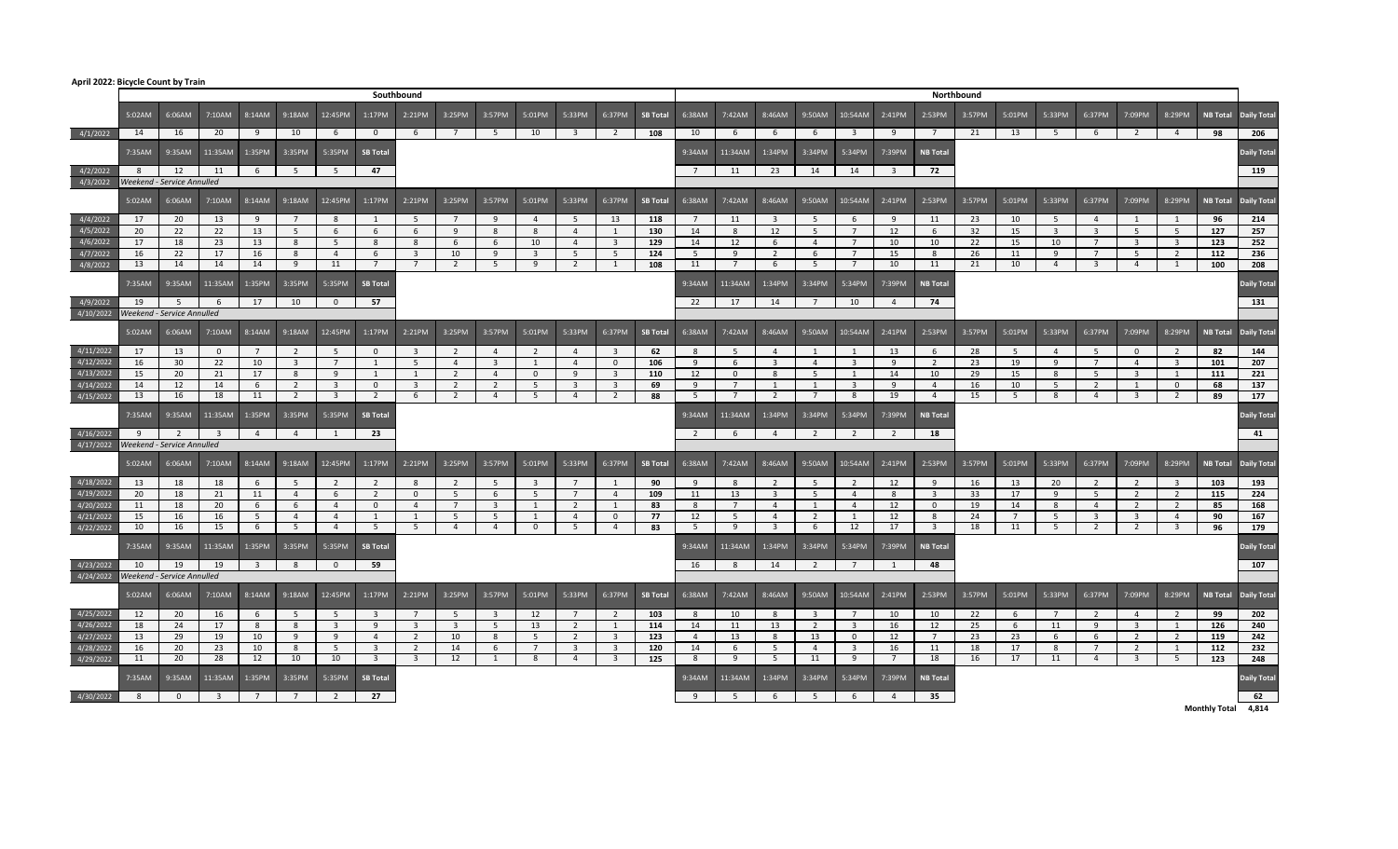|                                      |          | Southbound                       |                         |                         |                |                      |                               |                                           |                 |                                |                         |                                  |                |                 |                 |                       |          |                                           |                         |                         | Northbound      |          |        |                 |                     |                                  |                         |           |                             |
|--------------------------------------|----------|----------------------------------|-------------------------|-------------------------|----------------|----------------------|-------------------------------|-------------------------------------------|-----------------|--------------------------------|-------------------------|----------------------------------|----------------|-----------------|-----------------|-----------------------|----------|-------------------------------------------|-------------------------|-------------------------|-----------------|----------|--------|-----------------|---------------------|----------------------------------|-------------------------|-----------|-----------------------------|
|                                      | 5:02AM   | 6:06AM                           | 7:10AM                  |                         | 9:18AM         | 12:45PM              | 1:17PM                        | 2:21PM                                    | 3:25PM          | 3:57PM                         | 5:01PM                  | 5:33PM                           | 6:37PM         | <b>SB Total</b> | 6:38AM          | 7:42AM                | 8:46AM   | 9:50AM                                    | 10:54AM                 | 2:41PM                  | 2:53PM          | 3:57PM   | 5:01PM | 5:33PM          | 6:37PM              | 7:09PM                           | 8:29PM                  |           | <b>NB Total Daily Total</b> |
|                                      | 14       |                                  |                         | 8:14AM<br>q             |                |                      | $\Omega$                      |                                           |                 | - 5                            |                         | $\overline{\mathbf{3}}$          | 2              |                 |                 |                       | 6        |                                           |                         | -9                      | $\overline{7}$  |          |        | -5              | -6                  |                                  | $\overline{4}$          |           |                             |
| 4/1/2022                             |          | 16                               | 20                      |                         | 10             | 6                    |                               | -6                                        |                 |                                | 10                      |                                  |                | 108             | 10 <sup>°</sup> | 6                     |          | 6                                         | $\overline{\mathbf{3}}$ |                         |                 | 21       | 13     |                 |                     | $\overline{2}$                   |                         | 98        | 206                         |
|                                      | 7:35AM   | 9:35AM                           | 11:35AM                 | 1:35PM                  | 3:35PM         | 5:35PM               | <b>SB Total</b>               |                                           |                 |                                |                         |                                  |                |                 | 9:34AM          | 11:34AM               | 1:34PM   | 3:34PM                                    | 5:34PM                  | 7:39PM                  | <b>NB Total</b> |          |        |                 |                     |                                  |                         |           | <b>Daily Total</b>          |
| 4/2/2022<br>4/3/2022                 |          | 12<br>Weekend - Service Annulled | 11                      | - 6                     |                | 5 <sup>5</sup>       | 47                            |                                           |                 |                                |                         |                                  |                |                 |                 | 11                    | 23       | 14                                        | 14                      | $\overline{\mathbf{3}}$ | 72              |          |        |                 |                     |                                  |                         |           | 119                         |
|                                      |          |                                  |                         |                         |                |                      |                               |                                           |                 |                                |                         |                                  |                |                 |                 |                       |          |                                           |                         |                         |                 |          |        |                 |                     |                                  |                         |           |                             |
|                                      | 5:02AM   | 6:06AM                           | 7:10AM                  | 8:14AM                  | 9:18AM         | 12:45PM              | 1:17PM                        | 2:21PM                                    | 3:25PM          | 3:57PM                         | 5:01PM                  | 5:33PM                           | 6:37PM         | <b>SB Total</b> | 6:38AM          | 7:42AM                | 8:46AM   | 9:50AM                                    | 10:54AM                 | 2:41PM                  | 2:53PM          | 3:57PM   | 5:01PM | 5:33PM          | 6:37PM              | 7:09PM                           | 8:29PM                  |           | <b>NB Total Daily Total</b> |
| 4/4/2022                             | 17       | 20                               | 13                      | $\mathsf{q}$            | $\overline{7}$ | -8                   |                               | $-5$                                      | $\overline{7}$  | - 9                            | $\overline{4}$          | $5^{\circ}$                      | 13             | 118             |                 | 11                    | - 3      | 5 <sup>5</sup>                            | -6                      | $\mathsf{q}$            | 11              | 23       | 10     | $5\overline{)}$ |                     | 1                                | $\overline{1}$          | 96        | 214                         |
| 4/5/2022                             | 20       | 22                               | 22                      | 13                      | -5             |                      |                               | - 6                                       | <sub>q</sub>    | - 8                            | -8                      |                                  |                | 130             | 14              | 8                     | 12       | -5                                        |                         | 12                      |                 | 32       | 15     | -3              |                     | - 5                              | -5                      | 127       | 257                         |
| 4/6/2022                             | 17       | 18                               | 23                      | 13                      | 8              |                      | 8                             | - 8                                       |                 |                                | 10                      |                                  |                | 129             | 14              | 12                    |          | $\overline{4}$                            |                         | 10                      | 10              | 22       | 15     | 10              |                     | $\overline{3}$                   |                         | 123       | 252                         |
| 4/7/2022                             | 16       | 22                               | 17                      | 16                      |                |                      |                               | $\overline{\mathbf{3}}$                   | 10              | -9                             | $\overline{3}$          | -5                               |                | 124             |                 | 9                     | ຳ        | -6                                        |                         | 15                      |                 | 26       | 11     | $\mathbf{q}$    |                     | -5                               | $\overline{2}$          | 112       | 236                         |
| 4/8/2022                             | 13       | 14                               | 14                      | 14                      | -9             | 11                   |                               |                                           |                 | - 5                            | -9                      | 2                                |                | 108             | 11              |                       | 6        | -5                                        |                         | 10                      | 11              | 21       | 10     | $\Delta$        |                     |                                  |                         | 100       | 208                         |
|                                      | 7:35AM   | 9:35AM                           | 11:35AM                 | 1:35PM                  | 3:35PM         | 5:35PM               | <b>SB Total</b>               |                                           |                 |                                |                         |                                  |                |                 | 9:34AM          | 11:34AM               | 1:34PM   | 3:34PM                                    | 5:34PM                  | 7:39PM                  | <b>NB Total</b> |          |        |                 |                     |                                  |                         |           | <b>Daily Total</b>          |
| 4/9/2022                             | 19       |                                  | 6                       | 17                      | 10             | $\mathbf{0}$         | 57                            |                                           |                 |                                |                         |                                  |                |                 | 22              | 17                    | 14       | $\overline{7}$                            | 10                      | $\Delta$                | 74              |          |        |                 |                     |                                  |                         |           | 131                         |
| 4/10/2022                            |          | Weekend - Service Annulled       |                         |                         |                |                      |                               |                                           |                 |                                |                         |                                  |                |                 |                 |                       |          |                                           |                         |                         |                 |          |        |                 |                     |                                  |                         |           |                             |
|                                      | 5:02AM   | 6:06AM                           | 7:10AM                  | 8:14AM                  | 9:18AM         | 12:45PM              | 1:17PM                        | 2:21PM                                    | 3:25PM          | 3:57PM                         | 5:01PM                  | 5:33PM                           | 6:37PM         | <b>SB Total</b> | 6:38AM          | 7:42AM                | 8:46AM   | 9:50AM                                    | 10:54AM                 | 2:41PM                  | 2:53PM          | 3:57PM   | 5:01PM | 5:33PM          | 6:37PM              | 7:09PM                           | 8:29PM                  |           | <b>NB Total Daily Total</b> |
| 4/11/2022                            | 17       | 13                               | $\mathbf{0}$            |                         | $\overline{2}$ | -5                   | $\Omega$                      | $\overline{\mathbf{3}}$                   | $\overline{2}$  |                                | $\overline{2}$          | 4                                |                | 62              |                 | 5 <sup>5</sup>        | $\Delta$ |                                           |                         | 13                      |                 | 28       |        | $\Delta$        | -5                  | $\overline{0}$                   | $\overline{2}$          | 82        | 144                         |
| 4/12/2022                            | 16       | 30 <sup>°</sup>                  | 22                      | 10                      | $\mathbf{3}$   |                      |                               | - 5                                       |                 | $\overline{\mathbf{3}}$        |                         | $\Delta$                         |                | 106             | <b>Q</b>        | 6                     | -3       | $\overline{4}$                            |                         | $\alpha$                | ຳ               | 23       | 19     | <sub>q</sub>    |                     | $\overline{4}$                   |                         | 101       | 207                         |
| 4/13/2022                            | 15       | 20                               | 21                      | 17                      |                | -9                   |                               |                                           | $\overline{2}$  |                                |                         | -9                               | -3             | 110             | 12              | $\mathbf{0}$          | -8       | -5                                        |                         | 14                      | 10              | 29       | 15     | 8               |                     | $\overline{\mathbf{3}}$          |                         | 111       | 221                         |
| 4/14/2022                            | 14       | 12                               | 14                      | -6                      | $\overline{2}$ | - 3                  | $\Omega$                      | - 3                                       |                 | - 2                            | -5                      | -3                               |                | 69              | 9               |                       |          |                                           | -3                      | - 9                     |                 | 16       | 10     |                 |                     |                                  |                         | 68        | 137                         |
| 4/15/2022                            | 13       | 16                               | 18                      | 11                      | $\overline{2}$ | -3                   | 2                             | -6                                        | $\overline{2}$  | $\Lambda$                      | -5                      | $\Delta$                         | $\mathcal{D}$  | 88              |                 |                       |          | $\overline{7}$                            | -8                      | 19                      |                 | 15       |        | 8               |                     | $\overline{3}$                   | $\mathcal{D}$           | 89        | 177                         |
|                                      | 7:35AM   | 9:35AM                           | 11:35AM                 | 1:35PM                  | 3:35PM         | 5:35PM               | <b>SB Total</b>               |                                           |                 |                                |                         |                                  |                |                 | 9:34AM          | 11:34AM               | 1:34PM   | 3:34PM                                    | 5:34PM                  | 7:39PM                  | <b>NB Total</b> |          |        |                 |                     |                                  |                         |           | <b>Daily Total</b>          |
| 4/16/2022                            | 9        |                                  | -3                      | $\overline{4}$          | 4              |                      | 23                            |                                           |                 |                                |                         |                                  |                |                 |                 | 6                     | $\Delta$ | $\overline{2}$                            | $\overline{2}$          | $\overline{2}$          | 18              |          |        |                 |                     |                                  |                         |           | 41                          |
| 4/17/2022 Weekend - Service Annulled |          |                                  |                         |                         |                |                      |                               |                                           |                 |                                |                         |                                  |                |                 |                 |                       |          |                                           |                         |                         |                 |          |        |                 |                     |                                  |                         |           |                             |
|                                      | 5:02AM   | 6:06AM                           | 7:10AM                  | 8:14AM                  | 9:18AM         | 12:45PM              | 1:17PM                        | 2:21PM                                    | 3:25PM          | 3:57PM                         | 5:01PM                  | 5:33PM                           | 6:37PM         | <b>SB Total</b> | 6:38AM          | 7:42AM                | 8:46AM   | 9:50AM                                    | 10:54AM                 | 2:41PM                  | 2:53PM          | 3:57PM   | 5:01PM | 5:33PM          | 6:37PM              | 7:09PM                           | 8:29PM                  |           | <b>NB Total Daily Total</b> |
| 4/18/2022                            | 13       | 18                               | 18                      | -6                      | -5             | $\overline{2}$       | - 2                           | - 8                                       | $\overline{2}$  | - 5                            | $\overline{\mathbf{3}}$ | $\overline{7}$                   |                | 90              | -9              | 8                     | ີ າ      | 5 <sup>5</sup>                            |                         | 12                      |                 | 16       | 13     | 20              |                     | $\overline{2}$                   | $\overline{\mathbf{3}}$ | 103       | 193                         |
| 4/19/2022                            | 20       | 18                               | 21                      | 11                      |                | -6                   | $\overline{2}$                | $\overline{\mathbf{0}}$                   | 5 <sup>5</sup>  | 6                              | 5                       | $\overline{7}$                   |                | 109             | 11              | 13                    | -3       | $5\overline{)}$                           |                         | 8                       |                 | 33       | 17     | 9               | -5                  | $\overline{2}$                   | $\overline{2}$          | 115       | 224                         |
| 4/20/2022                            | 11       | 18                               | 20                      | -6                      | -6             |                      |                               | - 4                                       |                 | $\overline{\mathbf{3}}$        |                         | $\overline{2}$                   |                | 83              | 8               |                       |          |                                           |                         | 12                      |                 | 19       | 14     | 8               |                     | $\overline{2}$                   | $\overline{2}$          | 85        | 168                         |
| 4/21/2022                            | 15       | 16                               | 16                      |                         |                |                      |                               |                                           |                 |                                |                         |                                  |                | 77              | 12              |                       |          | $\overline{2}$                            |                         | 12                      |                 | 24       |        |                 |                     | -3                               |                         | 90        | 167                         |
| 4/22/2022                            | 10       | 16                               | 15                      | 6                       | 5 <sup>1</sup> | -4                   | - 5                           | - 5                                       |                 | 4                              | $\overline{0}$          | -5                               |                | 83              |                 | 9                     | -3       | -6                                        | 12                      | 17                      |                 | 18       | 11     | -5              |                     | $\overline{2}$                   | - 3                     | 96        | 179                         |
|                                      | 7:35AM   | 9:35AM                           | 11:35AM                 | 1:35PM                  | 3:35PM         | 5:35PM               | <b>SB Total</b>               |                                           |                 |                                |                         |                                  |                |                 | 9:34AM          | 11:34AM               | 1:34PM   | 3:34PM                                    | 5:34PM                  | 7:39PM                  | <b>NB Total</b> |          |        |                 |                     |                                  |                         |           | <b>Daily Total</b>          |
| 4/23/2022                            | 10       | 19                               | 19                      | $\overline{\mathbf{3}}$ | 8              | $\Omega$             | 59                            |                                           |                 |                                |                         |                                  |                |                 | 16              | 8                     | 14       | $\overline{2}$                            | $\overline{7}$          |                         | 48              |          |        |                 |                     |                                  |                         |           | 107                         |
| 4/24/2022                            |          | Weekend - Service Annulled       |                         |                         |                |                      |                               |                                           |                 |                                |                         |                                  |                |                 |                 |                       |          |                                           |                         |                         |                 |          |        |                 |                     |                                  |                         |           |                             |
|                                      | 5:02AM   | 6:06AM                           | 7:10AM                  | 8:14AM                  | 9:18AM         | 12:45PM              | 1:17PM                        | 2:21PM                                    | 3:25PM          | 3:57PM                         | 5:01PM                  | 5:33PM                           | 6:37PM         | <b>SB Total</b> | 6:38AM          | 7:42AM                | 8:46AM   | 9:50AM                                    | 10:54AM                 | 2:41PM                  | 2:53PM          | 3:57PM   | 5:01PM | 5:33PM          | 6:37PM              | 7:09PM                           | 8:29PM                  |           | <b>NB Total Daily Total</b> |
|                                      |          |                                  |                         |                         |                |                      |                               |                                           |                 |                                |                         |                                  |                |                 |                 |                       |          |                                           | $\overline{7}$          |                         |                 |          |        | $\overline{7}$  |                     |                                  |                         |           |                             |
| 4/25/2022<br>4/26/2022               | 12<br>18 | 20<br>24                         | 16<br>17                | -6<br>-8                | 5 <sup>5</sup> | 5 <sup>5</sup><br>-3 | $\overline{\mathbf{3}}$<br>-9 | $\overline{7}$<br>$\overline{\mathbf{3}}$ | 5 <sup>5</sup>  | $\overline{\mathbf{3}}$<br>- 5 | 12<br>13                | $\overline{7}$<br>$\overline{2}$ | $\overline{2}$ | 103<br>114      | 8<br>14         | 10 <sup>°</sup><br>11 | -8<br>13 | $\overline{\mathbf{3}}$<br>$\overline{2}$ | - 3                     | 10<br>16                | 10<br>12        | 22<br>25 | -6     | 11              | $\overline{2}$<br>q | $\overline{4}$<br>$\overline{3}$ | $\overline{2}$          | 99<br>126 | 202<br>240                  |
| 4/27/2022                            | 13       | 29                               | 19                      | 10                      | -9             | -9                   |                               | $\overline{\phantom{0}}^2$                | 10 <sup>°</sup> | -8                             |                         | $\overline{2}$                   |                | 123             |                 | 13                    |          | 13                                        |                         | 12                      |                 | 23       | 23     | 6               |                     | $\overline{2}$                   |                         | 119       | 242                         |
| 4/28/2022                            | 16       | 20                               | 23                      | 10                      | 8              | -5                   |                               | $\overline{\phantom{0}}$                  | 14              | - 6                            |                         | $\overline{\mathbf{3}}$          |                | 120             | 14              | 6                     |          | $\overline{4}$                            | $\overline{\mathbf{3}}$ | 16                      | 11              | 18       | 17     | 8               |                     | $\overline{2}$                   |                         | 112       | 232                         |
| 4/29/2022                            | 11       | 20                               | 28                      | 12                      | 10             | 10                   | $\overline{\mathbf{3}}$       | $\overline{\mathbf{3}}$                   | 12              | 1                              | 8                       | 4                                | 3              | 125             | 8               | 9                     | -5       | 11                                        | -9                      | $\overline{7}$          | 18              | 16       | 17     | 11              | -4                  | $\overline{\mathbf{3}}$          | $5\overline{)}$         | 123       | 248                         |
|                                      | 7:35AM   | 9:35AM                           | 11:35AM                 | 1:35PM                  | 3:35PM         | 5:35PM               | <b>SB Total</b>               |                                           |                 |                                |                         |                                  |                |                 | 9:34AM          | 11:34AM               | 1:34PM   | $3:34$ PM $5:34$ PM                       |                         | 7:39PM                  | <b>NB Total</b> |          |        |                 |                     |                                  |                         |           | <b>Daily Total</b>          |
| 4/30/2022                            |          | $\Omega$                         | $\overline{\mathbf{3}}$ | $\overline{7}$          | $\overline{7}$ | $\overline{2}$       | 27                            |                                           |                 |                                |                         |                                  |                |                 | 9               | 5 <sup>5</sup>        | -6       | 5 <sup>5</sup>                            | - 6                     | $\overline{4}$          | 35              |          |        |                 |                     |                                  |                         |           | 62                          |
|                                      |          |                                  |                         |                         |                |                      |                               |                                           |                 |                                |                         |                                  |                |                 |                 |                       |          |                                           |                         |                         |                 |          |        |                 |                     |                                  |                         |           |                             |

**Monthly Total 4,814**

**April 2022: Bicycle Count by Train**